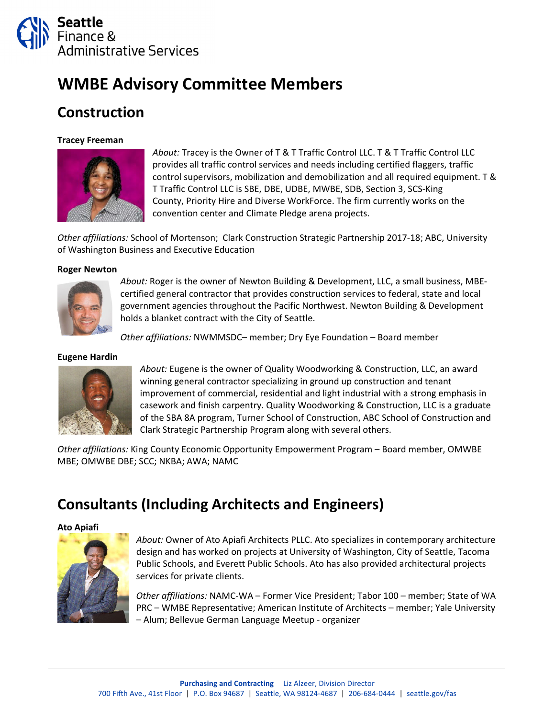

# **WMBE Advisory Committee Members**

## **Construction**

### **Tracey Freeman**



*About:* Tracey is the Owner of T & T Traffic Control LLC. T & T Traffic Control LLC provides all traffic control services and needs including certified flaggers, traffic control supervisors, mobilization and demobilization and all required equipment. T & T Traffic Control LLC is SBE, DBE, UDBE, MWBE, SDB, Section 3, SCS‐King County, Priority Hire and Diverse WorkForce. The firm currently works on the convention center and Climate Pledge arena projects.

*Other affiliations:* School of Mortenson; Clark Construction Strategic Partnership 2017‐18; ABC, University of Washington Business and Executive Education

### **Roger Newton**



*About:* Roger is the owner of Newton Building & Development, LLC, a small business, MBE‐ certified general contractor that provides construction services to federal, state and local government agencies throughout the Pacific Northwest. Newton Building & Development holds a blanket contract with the City of Seattle.

*Other affiliations:* NWMMSDC– member; Dry Eye Foundation – Board member

### **Eugene Hardin**



*About:* Eugene is the owner of Quality Woodworking & Construction, LLC, an award winning general contractor specializing in ground up construction and tenant improvement of commercial, residential and light industrial with a strong emphasis in casework and finish carpentry. Quality Woodworking & Construction, LLC is a graduate of the SBA 8A program, Turner School of Construction, ABC School of Construction and Clark Strategic Partnership Program along with several others.

*Other affiliations:* King County Economic Opportunity Empowerment Program – Board member, OMWBE MBE; OMWBE DBE; SCC; NKBA; AWA; NAMC

## **Consultants (Including Architects and Engineers)**

**Ato Apiafi**



*About:* Owner of Ato Apiafi Architects PLLC. Ato specializes in contemporary architecture design and has worked on projects at University of Washington, City of Seattle, Tacoma Public Schools, and Everett Public Schools. Ato has also provided architectural projects services for private clients.

*Other affiliations:* NAMC‐WA – Former Vice President; Tabor 100 – member; State of WA PRC – WMBE Representative; American Institute of Architects – member; Yale University – Alum; Bellevue German Language Meetup ‐ organizer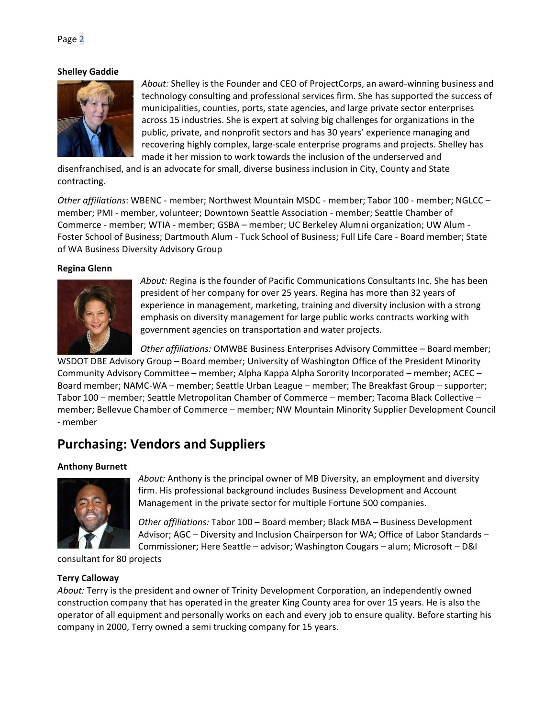### **Shelley Gaddie**



*About:* Shelley is the Founder and CEO of ProjectCorps, an award‐winning business and technology consulting and professional services firm. She has supported the success of municipalities, counties, ports, state agencies, and large private sector enterprises across 15 industries. She is expert at solving big challenges for organizations in the public, private, and nonprofit sectors and has 30 years' experience managing and recovering highly complex, large‐scale enterprise programs and projects. Shelley has made it her mission to work towards the inclusion of the underserved and

disenfranchised, and is an advocate for small, diverse business inclusion in City, County and State contracting.

*Other affiliations*: WBENC ‐ member; Northwest Mountain MSDC ‐ member; Tabor 100 ‐ member; NGLCC – member; PMI ‐ member, volunteer; Downtown Seattle Association ‐ member; Seattle Chamber of Commerce ‐ member; WTIA ‐ member; GSBA – member; UC Berkeley Alumni organization; UW Alum ‐ Foster School of Business; Dartmouth Alum ‐ Tuck School of Business; Full Life Care ‐ Board member; State of WA Business Diversity Advisory Group

### **Regina Glenn**



*About:* Regina is the founder of Pacific Communications Consultants Inc. She has been president of her company for over 25 years. Regina has more than 32 years of experience in management, marketing, training and diversity inclusion with a strong emphasis on diversity management for large public works contracts working with government agencies on transportation and water projects.

*Other affiliations:* OMWBE Business Enterprises Advisory Committee – Board member;

WSDOT DBE Advisory Group – Board member; University of Washington Office of the President Minority Community Advisory Committee – member; Alpha Kappa Alpha Sorority Incorporated – member; ACEC – Board member; NAMC‐WA – member; Seattle Urban League – member; The Breakfast Group – supporter; Tabor 100 – member; Seattle Metropolitan Chamber of Commerce – member; Tacoma Black Collective – member; Bellevue Chamber of Commerce – member; NW Mountain Minority Supplier Development Council ‐ member

### **Purchasing: Vendors and Suppliers**

### **Anthony Burnett**



*About:* Anthony is the principal owner of MB Diversity, an employment and diversity firm. His professional background includes Business Development and Account Management in the private sector for multiple Fortune 500 companies.

*Other affiliations:* Tabor 100 – Board member; Black MBA – Business Development Advisor; AGC – Diversity and Inclusion Chairperson for WA; Office of Labor Standards – Commissioner; Here Seattle – advisor; Washington Cougars – alum; Microsoft – D&I

consultant for 80 projects

### **Terry Calloway**

*About:* Terry is the president and owner of Trinity Development Corporation, an independently owned construction company that has operated in the greater King County area for over 15 years. He is also the operator of all equipment and personally works on each and every job to ensure quality. Before starting his company in 2000, Terry owned a semi trucking company for 15 years.